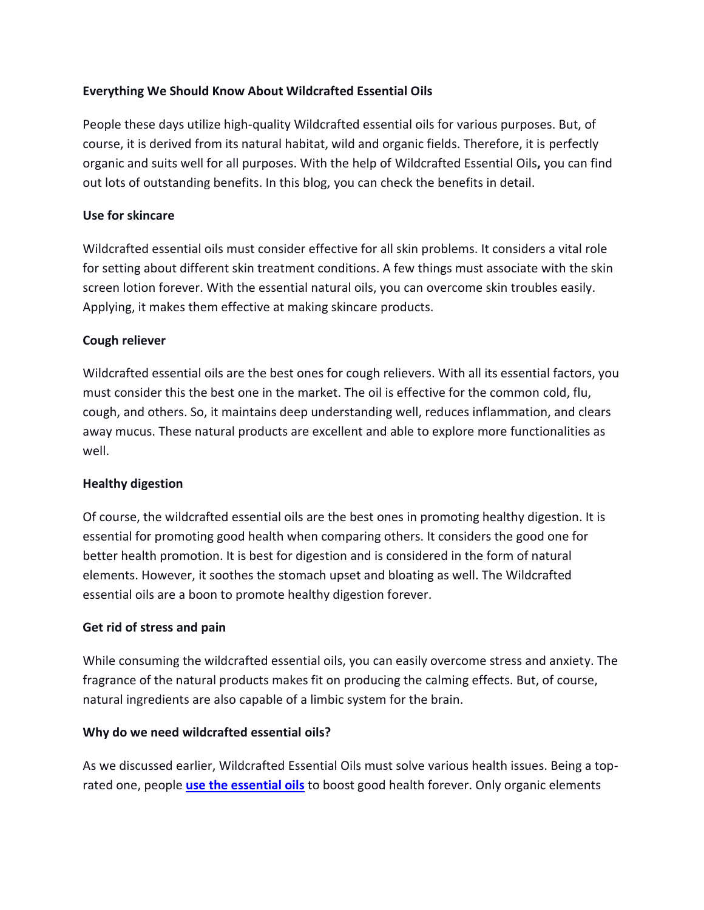# **Everything We Should Know About Wildcrafted Essential Oils**

People these days utilize high-quality Wildcrafted essential oils for various purposes. But, of course, it is derived from its natural habitat, wild and organic fields. Therefore, it is perfectly organic and suits well for all purposes. With the help of Wildcrafted Essential Oils**,** you can find out lots of outstanding benefits. In this blog, you can check the benefits in detail.

# **Use for skincare**

Wildcrafted essential oils must consider effective for all skin problems. It considers a vital role for setting about different skin treatment conditions. A few things must associate with the skin screen lotion forever. With the essential natural oils, you can overcome skin troubles easily. Applying, it makes them effective at making skincare products.

# **Cough reliever**

Wildcrafted essential oils are the best ones for cough relievers. With all its essential factors, you must consider this the best one in the market. The oil is effective for the common cold, flu, cough, and others. So, it maintains deep understanding well, reduces inflammation, and clears away mucus. These natural products are excellent and able to explore more functionalities as well.

# **Healthy digestion**

Of course, the wildcrafted essential oils are the best ones in promoting healthy digestion. It is essential for promoting good health when comparing others. It considers the good one for better health promotion. It is best for digestion and is considered in the form of natural elements. However, it soothes the stomach upset and bloating as well. The Wildcrafted essential oils are a boon to promote healthy digestion forever.

### **Get rid of stress and pain**

While consuming the wildcrafted essential oils, you can easily overcome stress and anxiety. The fragrance of the natural products makes fit on producing the calming effects. But, of course, natural ingredients are also capable of a limbic system for the brain.

### **Why do we need wildcrafted essential oils?**

As we discussed earlier, Wildcrafted Essential Oils must solve various health issues. Being a toprated one, people **[use the essential oils](https://essentialoilwizardry.com/about-eow/)** to boost good health forever. Only organic elements